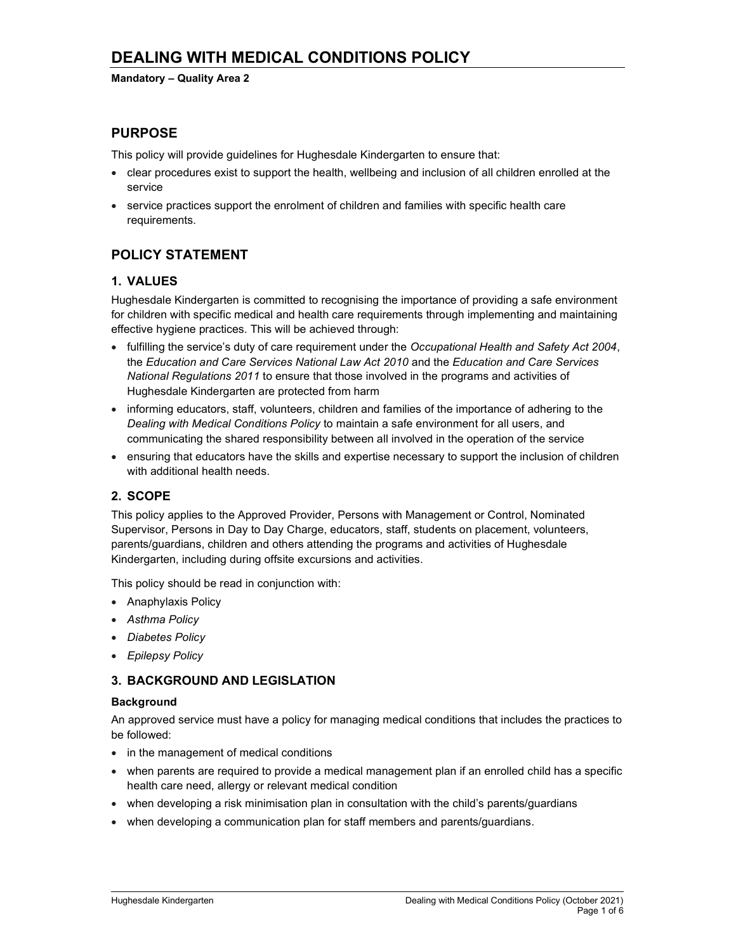#### Mandatory – Quality Area 2

## PURPOSE

This policy will provide guidelines for Hughesdale Kindergarten to ensure that:

- clear procedures exist to support the health, wellbeing and inclusion of all children enrolled at the service
- service practices support the enrolment of children and families with specific health care requirements.

# POLICY STATEMENT

### 1. VALUES

Hughesdale Kindergarten is committed to recognising the importance of providing a safe environment for children with specific medical and health care requirements through implementing and maintaining effective hygiene practices. This will be achieved through:

- fulfilling the service's duty of care requirement under the Occupational Health and Safety Act 2004, the Education and Care Services National Law Act 2010 and the Education and Care Services National Regulations 2011 to ensure that those involved in the programs and activities of Hughesdale Kindergarten are protected from harm
- informing educators, staff, volunteers, children and families of the importance of adhering to the Dealing with Medical Conditions Policy to maintain a safe environment for all users, and communicating the shared responsibility between all involved in the operation of the service
- ensuring that educators have the skills and expertise necessary to support the inclusion of children with additional health needs.

## 2. SCOPE

This policy applies to the Approved Provider, Persons with Management or Control, Nominated Supervisor, Persons in Day to Day Charge, educators, staff, students on placement, volunteers, parents/guardians, children and others attending the programs and activities of Hughesdale Kindergarten, including during offsite excursions and activities.

This policy should be read in conjunction with:

- Anaphylaxis Policy
- Asthma Policy
- Diabetes Policy
- Epilepsy Policy

## 3. BACKGROUND AND LEGISLATION

#### **Background**

An approved service must have a policy for managing medical conditions that includes the practices to be followed:

- in the management of medical conditions
- when parents are required to provide a medical management plan if an enrolled child has a specific health care need, allergy or relevant medical condition
- when developing a risk minimisation plan in consultation with the child's parents/guardians
- when developing a communication plan for staff members and parents/guardians.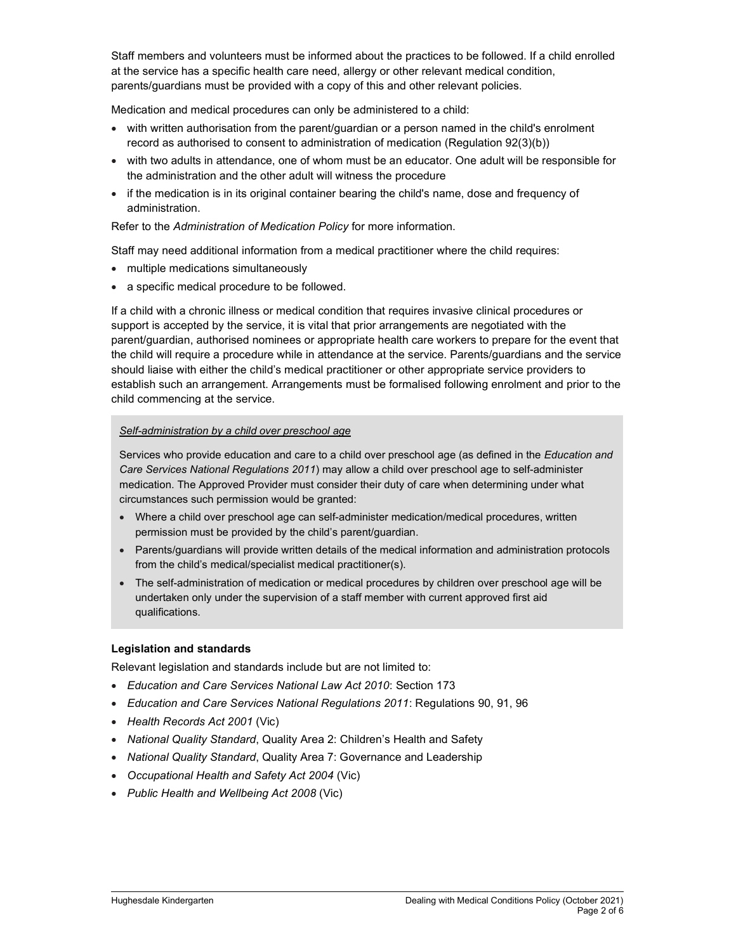Staff members and volunteers must be informed about the practices to be followed. If a child enrolled at the service has a specific health care need, allergy or other relevant medical condition, parents/guardians must be provided with a copy of this and other relevant policies.

Medication and medical procedures can only be administered to a child:

- with written authorisation from the parent/guardian or a person named in the child's enrolment record as authorised to consent to administration of medication (Regulation 92(3)(b))
- with two adults in attendance, one of whom must be an educator. One adult will be responsible for the administration and the other adult will witness the procedure
- if the medication is in its original container bearing the child's name, dose and frequency of administration.

Refer to the Administration of Medication Policy for more information.

Staff may need additional information from a medical practitioner where the child requires:

- multiple medications simultaneously
- a specific medical procedure to be followed.

If a child with a chronic illness or medical condition that requires invasive clinical procedures or support is accepted by the service, it is vital that prior arrangements are negotiated with the parent/guardian, authorised nominees or appropriate health care workers to prepare for the event that the child will require a procedure while in attendance at the service. Parents/guardians and the service should liaise with either the child's medical practitioner or other appropriate service providers to establish such an arrangement. Arrangements must be formalised following enrolment and prior to the child commencing at the service.

#### Self-administration by a child over preschool age

Services who provide education and care to a child over preschool age (as defined in the Education and Care Services National Regulations 2011) may allow a child over preschool age to self-administer medication. The Approved Provider must consider their duty of care when determining under what circumstances such permission would be granted:

- Where a child over preschool age can self-administer medication/medical procedures, written permission must be provided by the child's parent/guardian.
- Parents/guardians will provide written details of the medical information and administration protocols from the child's medical/specialist medical practitioner(s).
- The self-administration of medication or medical procedures by children over preschool age will be undertaken only under the supervision of a staff member with current approved first aid qualifications.

#### Legislation and standards

Relevant legislation and standards include but are not limited to:

- Education and Care Services National Law Act 2010: Section 173
- Education and Care Services National Regulations 2011: Regulations 90, 91, 96
- Health Records Act 2001 (Vic)
- National Quality Standard, Quality Area 2: Children's Health and Safety
- National Quality Standard, Quality Area 7: Governance and Leadership
- Occupational Health and Safety Act 2004 (Vic)
- Public Health and Wellbeing Act 2008 (Vic)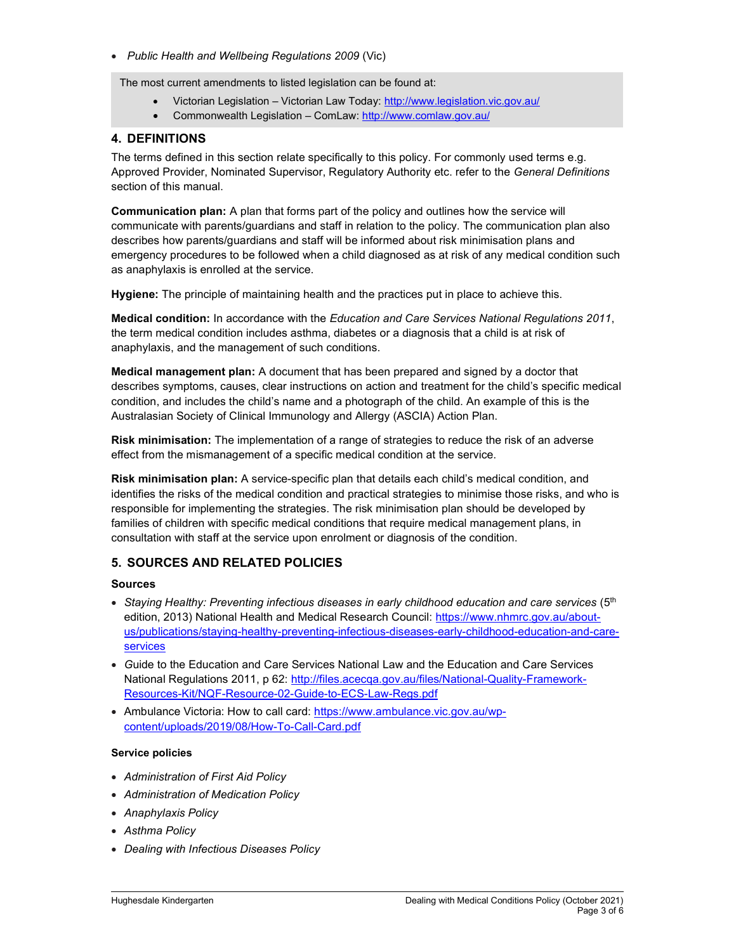• Public Health and Wellbeing Regulations 2009 (Vic)

The most current amendments to listed legislation can be found at:

- Victorian Legislation Victorian Law Today: http://www.legislation.vic.gov.au/
- Commonwealth Legislation ComLaw: http://www.comlaw.gov.au/

### 4. DEFINITIONS

The terms defined in this section relate specifically to this policy. For commonly used terms e.g. Approved Provider, Nominated Supervisor, Regulatory Authority etc. refer to the General Definitions section of this manual.

Communication plan: A plan that forms part of the policy and outlines how the service will communicate with parents/guardians and staff in relation to the policy. The communication plan also describes how parents/guardians and staff will be informed about risk minimisation plans and emergency procedures to be followed when a child diagnosed as at risk of any medical condition such as anaphylaxis is enrolled at the service.

Hygiene: The principle of maintaining health and the practices put in place to achieve this.

Medical condition: In accordance with the Education and Care Services National Regulations 2011, the term medical condition includes asthma, diabetes or a diagnosis that a child is at risk of anaphylaxis, and the management of such conditions.

Medical management plan: A document that has been prepared and signed by a doctor that describes symptoms, causes, clear instructions on action and treatment for the child's specific medical condition, and includes the child's name and a photograph of the child. An example of this is the Australasian Society of Clinical Immunology and Allergy (ASCIA) Action Plan.

Risk minimisation: The implementation of a range of strategies to reduce the risk of an adverse effect from the mismanagement of a specific medical condition at the service.

Risk minimisation plan: A service-specific plan that details each child's medical condition, and identifies the risks of the medical condition and practical strategies to minimise those risks, and who is responsible for implementing the strategies. The risk minimisation plan should be developed by families of children with specific medical conditions that require medical management plans, in consultation with staff at the service upon enrolment or diagnosis of the condition.

### 5. SOURCES AND RELATED POLICIES

#### Sources

- $\bullet$  Staying Healthy: Preventing infectious diseases in early childhood education and care services ( $5<sup>th</sup>$ edition, 2013) National Health and Medical Research Council: https://www.nhmrc.gov.au/aboutus/publications/staying-healthy-preventing-infectious-diseases-early-childhood-education-and-careservices
- Guide to the Education and Care Services National Law and the Education and Care Services National Regulations 2011, p 62: http://files.acecqa.gov.au/files/National-Quality-Framework-Resources-Kit/NQF-Resource-02-Guide-to-ECS-Law-Regs.pdf
- Ambulance Victoria: How to call card: https://www.ambulance.vic.gov.au/wpcontent/uploads/2019/08/How-To-Call-Card.pdf

#### Service policies

- Administration of First Aid Policy
- Administration of Medication Policy
- Anaphylaxis Policy
- Asthma Policy
- Dealing with Infectious Diseases Policy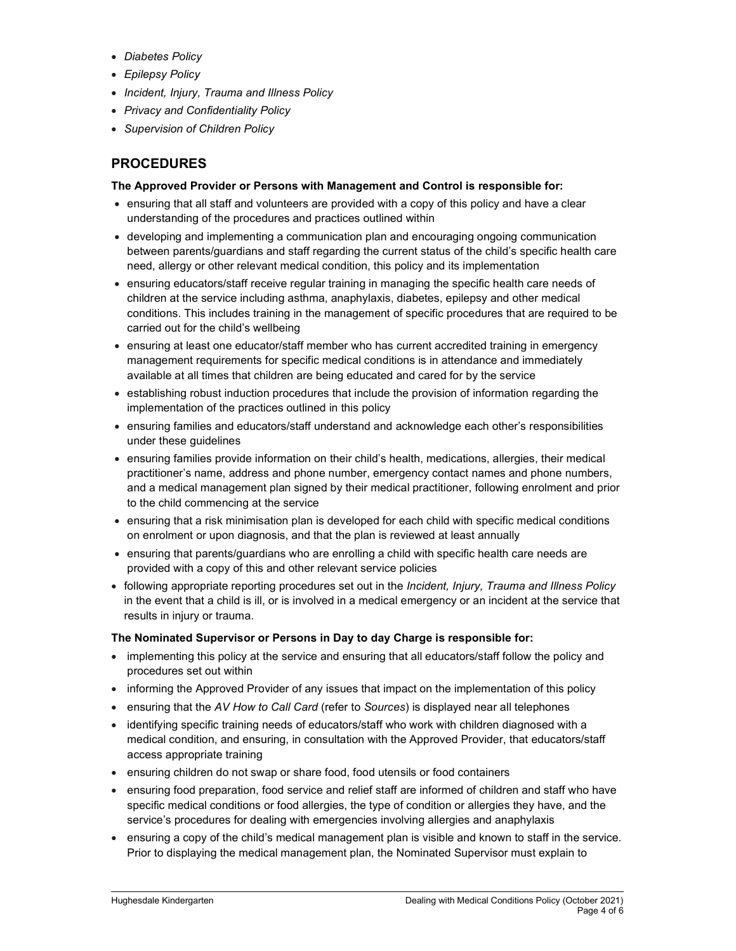- Diabetes Policy
- Epilepsy Policy
- Incident, Injury, Trauma and Illness Policy
- Privacy and Confidentiality Policy
- Supervision of Children Policy

# PROCEDURES

#### The Approved Provider or Persons with Management and Control is responsible for:

- ensuring that all staff and volunteers are provided with a copy of this policy and have a clear understanding of the procedures and practices outlined within
- developing and implementing a communication plan and encouraging ongoing communication between parents/guardians and staff regarding the current status of the child's specific health care need, allergy or other relevant medical condition, this policy and its implementation
- ensuring educators/staff receive regular training in managing the specific health care needs of children at the service including asthma, anaphylaxis, diabetes, epilepsy and other medical conditions. This includes training in the management of specific procedures that are required to be carried out for the child's wellbeing
- ensuring at least one educator/staff member who has current accredited training in emergency management requirements for specific medical conditions is in attendance and immediately available at all times that children are being educated and cared for by the service
- establishing robust induction procedures that include the provision of information regarding the implementation of the practices outlined in this policy
- ensuring families and educators/staff understand and acknowledge each other's responsibilities under these guidelines
- ensuring families provide information on their child's health, medications, allergies, their medical practitioner's name, address and phone number, emergency contact names and phone numbers, and a medical management plan signed by their medical practitioner, following enrolment and prior to the child commencing at the service
- ensuring that a risk minimisation plan is developed for each child with specific medical conditions on enrolment or upon diagnosis, and that the plan is reviewed at least annually
- ensuring that parents/guardians who are enrolling a child with specific health care needs are provided with a copy of this and other relevant service policies
- following appropriate reporting procedures set out in the Incident, Injury, Trauma and Illness Policy in the event that a child is ill, or is involved in a medical emergency or an incident at the service that results in injury or trauma.

#### The Nominated Supervisor or Persons in Day to day Charge is responsible for:

- implementing this policy at the service and ensuring that all educators/staff follow the policy and procedures set out within
- informing the Approved Provider of any issues that impact on the implementation of this policy
- ensuring that the AV How to Call Card (refer to Sources) is displayed near all telephones
- identifying specific training needs of educators/staff who work with children diagnosed with a medical condition, and ensuring, in consultation with the Approved Provider, that educators/staff access appropriate training
- ensuring children do not swap or share food, food utensils or food containers
- ensuring food preparation, food service and relief staff are informed of children and staff who have specific medical conditions or food allergies, the type of condition or allergies they have, and the service's procedures for dealing with emergencies involving allergies and anaphylaxis
- ensuring a copy of the child's medical management plan is visible and known to staff in the service. Prior to displaying the medical management plan, the Nominated Supervisor must explain to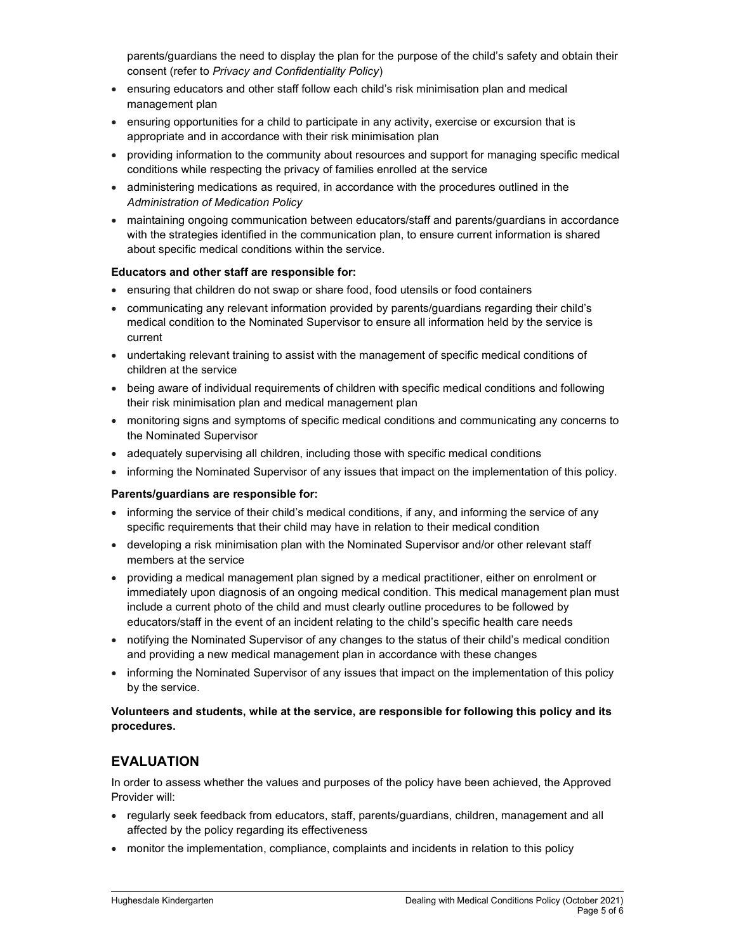parents/guardians the need to display the plan for the purpose of the child's safety and obtain their consent (refer to Privacy and Confidentiality Policy)

- ensuring educators and other staff follow each child's risk minimisation plan and medical management plan
- ensuring opportunities for a child to participate in any activity, exercise or excursion that is appropriate and in accordance with their risk minimisation plan
- providing information to the community about resources and support for managing specific medical conditions while respecting the privacy of families enrolled at the service
- administering medications as required, in accordance with the procedures outlined in the Administration of Medication Policy
- maintaining ongoing communication between educators/staff and parents/guardians in accordance with the strategies identified in the communication plan, to ensure current information is shared about specific medical conditions within the service.

#### Educators and other staff are responsible for:

- ensuring that children do not swap or share food, food utensils or food containers
- communicating any relevant information provided by parents/guardians regarding their child's medical condition to the Nominated Supervisor to ensure all information held by the service is current
- undertaking relevant training to assist with the management of specific medical conditions of children at the service
- being aware of individual requirements of children with specific medical conditions and following their risk minimisation plan and medical management plan
- monitoring signs and symptoms of specific medical conditions and communicating any concerns to the Nominated Supervisor
- adequately supervising all children, including those with specific medical conditions
- informing the Nominated Supervisor of any issues that impact on the implementation of this policy.

#### Parents/guardians are responsible for:

- informing the service of their child's medical conditions, if any, and informing the service of any specific requirements that their child may have in relation to their medical condition
- developing a risk minimisation plan with the Nominated Supervisor and/or other relevant staff members at the service
- providing a medical management plan signed by a medical practitioner, either on enrolment or immediately upon diagnosis of an ongoing medical condition. This medical management plan must include a current photo of the child and must clearly outline procedures to be followed by educators/staff in the event of an incident relating to the child's specific health care needs
- notifying the Nominated Supervisor of any changes to the status of their child's medical condition and providing a new medical management plan in accordance with these changes
- informing the Nominated Supervisor of any issues that impact on the implementation of this policy by the service.

#### Volunteers and students, while at the service, are responsible for following this policy and its procedures.

## EVALUATION

In order to assess whether the values and purposes of the policy have been achieved, the Approved Provider will:

- regularly seek feedback from educators, staff, parents/guardians, children, management and all affected by the policy regarding its effectiveness
- monitor the implementation, compliance, complaints and incidents in relation to this policy